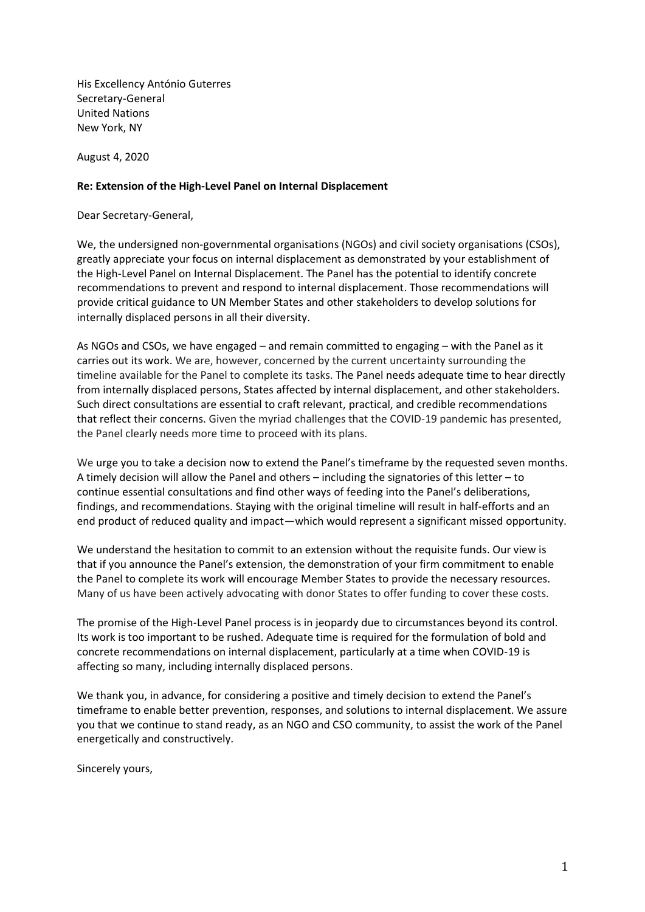His Excellency António Guterres Secretary-General United Nations New York, NY

August 4, 2020

## **Re: Extension of the High-Level Panel on Internal Displacement**

Dear Secretary-General,

We, the undersigned non-governmental organisations (NGOs) and civil society organisations (CSOs), greatly appreciate your focus on internal displacement as demonstrated by your establishment of the High-Level Panel on Internal Displacement. The Panel has the potential to identify concrete recommendations to prevent and respond to internal displacement. Those recommendations will provide critical guidance to UN Member States and other stakeholders to develop solutions for internally displaced persons in all their diversity.

As NGOs and CSOs, we have engaged – and remain committed to engaging – with the Panel as it carries out its work. We are, however, concerned by the current uncertainty surrounding the timeline available for the Panel to complete its tasks. The Panel needs adequate time to hear directly from internally displaced persons, States affected by internal displacement, and other stakeholders. Such direct consultations are essential to craft relevant, practical, and credible recommendations that reflect their concerns. Given the myriad challenges that the COVID-19 pandemic has presented, the Panel clearly needs more time to proceed with its plans.

We urge you to take a decision now to extend the Panel's timeframe by the requested seven months. A timely decision will allow the Panel and others – including the signatories of this letter – to continue essential consultations and find other ways of feeding into the Panel's deliberations, findings, and recommendations. Staying with the original timeline will result in half-efforts and an end product of reduced quality and impact—which would represent a significant missed opportunity.

We understand the hesitation to commit to an extension without the requisite funds. Our view is that if you announce the Panel's extension, the demonstration of your firm commitment to enable the Panel to complete its work will encourage Member States to provide the necessary resources. Many of us have been actively advocating with donor States to offer funding to cover these costs.

The promise of the High-Level Panel process is in jeopardy due to circumstances beyond its control. Its work is too important to be rushed. Adequate time is required for the formulation of bold and concrete recommendations on internal displacement, particularly at a time when COVID-19 is affecting so many, including internally displaced persons.

We thank you, in advance, for considering a positive and timely decision to extend the Panel's timeframe to enable better prevention, responses, and solutions to internal displacement. We assure you that we continue to stand ready, as an NGO and CSO community, to assist the work of the Panel energetically and constructively.

Sincerely yours,